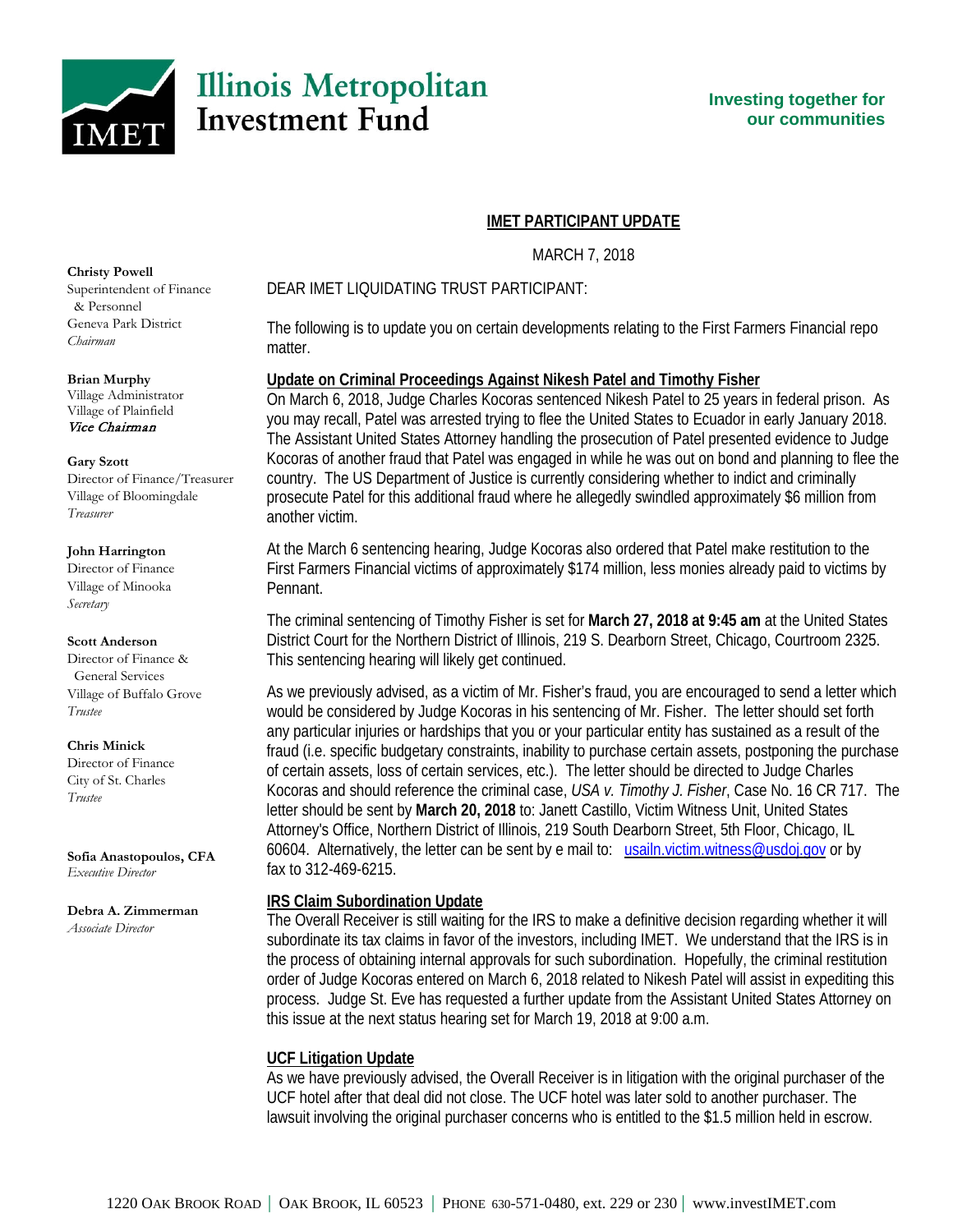

## **IMET PARTICIPANT UPDATE**

MARCH 7, 2018

## DEAR IMET LIQUIDATING TRUST PARTICIPANT:

The following is to update you on certain developments relating to the First Farmers Financial repo matter.

## **Update on Criminal Proceedings Against Nikesh Patel and Timothy Fisher**

On March 6, 2018, Judge Charles Kocoras sentenced Nikesh Patel to 25 years in federal prison. As you may recall, Patel was arrested trying to flee the United States to Ecuador in early January 2018. The Assistant United States Attorney handling the prosecution of Patel presented evidence to Judge Kocoras of another fraud that Patel was engaged in while he was out on bond and planning to flee the country. The US Department of Justice is currently considering whether to indict and criminally prosecute Patel for this additional fraud where he allegedly swindled approximately \$6 million from another victim.

At the March 6 sentencing hearing, Judge Kocoras also ordered that Patel make restitution to the First Farmers Financial victims of approximately \$174 million, less monies already paid to victims by Pennant.

The criminal sentencing of Timothy Fisher is set for **March 27, 2018 at 9:45 am** at the United States District Court for the Northern District of Illinois, 219 S. Dearborn Street, Chicago, Courtroom 2325. This sentencing hearing will likely get continued.

As we previously advised, as a victim of Mr. Fisher's fraud, you are encouraged to send a letter which would be considered by Judge Kocoras in his sentencing of Mr. Fisher. The letter should set forth any particular injuries or hardships that you or your particular entity has sustained as a result of the fraud (i.e. specific budgetary constraints, inability to purchase certain assets, postponing the purchase of certain assets, loss of certain services, etc.). The letter should be directed to Judge Charles Kocoras and should reference the criminal case, *USA v. Timothy J. Fisher*, Case No. 16 CR 717. The letter should be sent by **March 20, 2018** to: Janett Castillo, Victim Witness Unit, United States Attorney's Office, Northern District of Illinois, 219 South Dearborn Street, 5th Floor, Chicago, IL 60604. Alternatively, the letter can be sent by e mail to: [usailn.victim.witness@usdoj.gov](mailto:usailn.victim.witness@usdoj.gov) or by fax to 312-469-6215.

## **IRS Claim Subordination Update**

The Overall Receiver is still waiting for the IRS to make a definitive decision regarding whether it will subordinate its tax claims in favor of the investors, including IMET. We understand that the IRS is in the process of obtaining internal approvals for such subordination. Hopefully, the criminal restitution order of Judge Kocoras entered on March 6, 2018 related to Nikesh Patel will assist in expediting this process. Judge St. Eve has requested a further update from the Assistant United States Attorney on this issue at the next status hearing set for March 19, 2018 at 9:00 a.m.

# **UCF Litigation Update**

As we have previously advised, the Overall Receiver is in litigation with the original purchaser of the UCF hotel after that deal did not close. The UCF hotel was later sold to another purchaser. The lawsuit involving the original purchaser concerns who is entitled to the \$1.5 million held in escrow.

#### **Christy Powell**

Superintendent of Finance & Personnel Geneva Park District *Chairman*

#### **Brian Murphy**

Village Administrator Village of Plainfield Vice Chairman

#### **Gary Szott**

Director of Finance/Treasurer Village of Bloomingdale *Treasurer*

#### **John Harrington**

Director of Finance Village of Minooka *Secretary*

### **Scott Anderson**

Director of Finance & General Services Village of Buffalo Grove *Trustee*

### **Chris Minick**

Director of Finance City of St. Charles *Trustee*

**Sofia Anastopoulos, CFA** *Executive Director*

**Debra A. Zimmerman** *Associate Director*